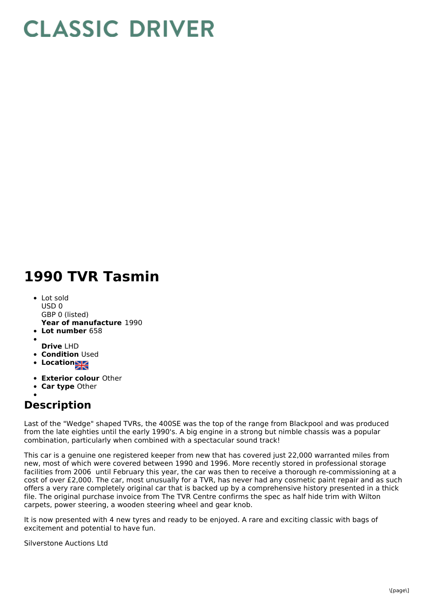## **CLASSIC DRIVER**

## **1990 TVR Tasmin**

- **Year of manufacture** 1990 • Lot sold  $USD0$ GBP 0 (listed)
- **Lot number** 658
- **Drive** LHD
- **Condition Used**
- **Location**
- **Exterior colour** Other
- **Car type** Other

## **Description**

Last of the "Wedge" shaped TVRs, the 400SE was the top of the range from Blackpool and was produced from the late eighties until the early 1990's. A big engine in a strong but nimble chassis was a popular combination, particularly when combined with a spectacular sound track!

This car is a genuine one registered keeper from new that has covered just 22,000 warranted miles from new, most of which were covered between 1990 and 1996. More recently stored in professional storage facilities from 2006 until February this year, the car was then to receive a thorough re-commissioning at a cost of over £2,000. The car, most unusually for a TVR, has never had any cosmetic paint repair and as such offers a very rare completely original car that is backed up by a comprehensive history presented in a thick file. The original purchase invoice from The TVR Centre confirms the spec as half hide trim with Wilton carpets, power steering, a wooden steering wheel and gear knob.

It is now presented with 4 new tyres and ready to be enjoyed. A rare and exciting classic with bags of excitement and potential to have fun.

Silverstone Auctions Ltd